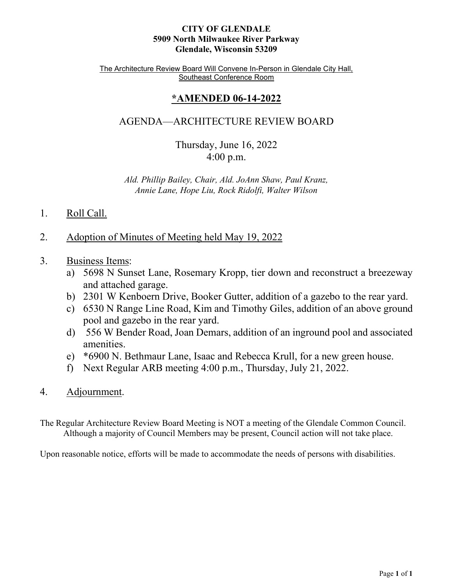#### **CITY OF GLENDALE 5909 North Milwaukee River Parkway Glendale, Wisconsin 53209**

The Architecture Review Board Will Convene In-Person in Glendale City Hall, Southeast Conference Room

# **\*AMENDED 06-14-2022**

# AGENDA—ARCHITECTURE REVIEW BOARD

Thursday, June 16, 2022 4:00 p.m.

*Ald. Phillip Bailey, Chair, Ald. JoAnn Shaw, Paul Kranz, Annie Lane, Hope Liu, Rock Ridolfi, Walter Wilson*

- 1. Roll Call.
- 2. [Adoption of Minutes of Meeting held May 19, 2022](#page-1-0)
- 3. Business Items:
	- a) [5698 N Sunset Lane, Rosemary Kropp, tier down and reconstruct a breezeway](#page-3-0)  and attached garage.
	- b) [2301 W Kenboern Drive, Booker Gutter, addition of a gazebo to the rear yard.](#page-4-0)
	- c) [6530 N Range Line Road, Kim and Timothy Giles, addition of an above ground](#page-5-0)  pool and gazebo in the rear yard.
	- d) [556 W Bender Road, Joan Demars, addition of an inground pool and associated](#page-6-0)  amenities.
	- e) [\\*6900 N. Bethmaur Lane, Isaac and Rebecca Krull, for a new green house.](#page-7-0)
	- f) Next Regular ARB meeting 4:00 p.m., Thursday, July 21, 2022.
- 4. Adjournment.

The Regular Architecture Review Board Meeting is NOT a meeting of the Glendale Common Council. Although a majority of Council Members may be present, Council action will not take place.

Upon reasonable notice, efforts will be made to accommodate the needs of persons with disabilities.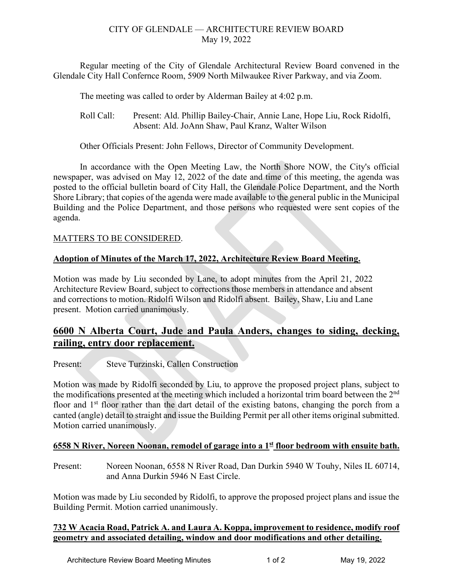### CITY OF GLENDALE — ARCHITECTURE REVIEW BOARD May 19, 2022

<span id="page-1-0"></span>Regular meeting of the City of Glendale Architectural Review Board convened in the Glendale City Hall Confernce Room, 5909 North Milwaukee River Parkway, and via Zoom.

The meeting was called to order by Alderman Bailey at 4:02 p.m.

Roll Call: Present: Ald. Phillip Bailey-Chair, Annie Lane, Hope Liu, Rock Ridolfi, Absent: Ald. JoAnn Shaw, Paul Kranz, Walter Wilson

Other Officials Present: John Fellows, Director of Community Development.

In accordance with the Open Meeting Law, the North Shore NOW, the City's official newspaper, was advised on May 12, 2022 of the date and time of this meeting, the agenda was posted to the official bulletin board of City Hall, the Glendale Police Department, and the North Shore Library; that copies of the agenda were made available to the general public in the Municipal Building and the Police Department, and those persons who requested were sent copies of the agenda.

# MATTERS TO BE CONSIDERED.

# **Adoption of Minutes of the March 17, 2022, Architecture Review Board Meeting.**

Motion was made by Liu seconded by Lane, to adopt minutes from the April 21, 2022 Architecture Review Board, subject to corrections those members in attendance and absent and corrections to motion. Ridolfi Wilson and Ridolfi absent. Bailey, Shaw, Liu and Lane present. Motion carried unanimously.

# **6600 N Alberta Court, Jude and Paula Anders, changes to siding, decking, railing, entry door replacement.**

Present: Steve Turzinski, Callen Construction

Motion was made by Ridolfi seconded by Liu, to approve the proposed project plans, subject to the modifications presented at the meeting which included a horizontal trim board between the 2<sup>nd</sup> floor and  $1<sup>st</sup>$  floor rather than the dart detail of the existing batons, changing the porch from a canted (angle) detail to straight and issue the Building Permit per all other items original submitted. Motion carried unanimously.

### **6558 N River, Noreen Noonan, remodel of garage into a 1st floor bedroom with ensuite bath.**

Present: Noreen Noonan, 6558 N River Road, Dan Durkin 5940 W Touhy, Niles IL 60714, and Anna Durkin 5946 N East Circle.

Motion was made by Liu seconded by Ridolfi, to approve the proposed project plans and issue the Building Permit. Motion carried unanimously.

### **732 W Acacia Road, Patrick A. and Laura A. Koppa, improvement to residence, modify roof geometry and associated detailing, window and door modifications and other detailing.**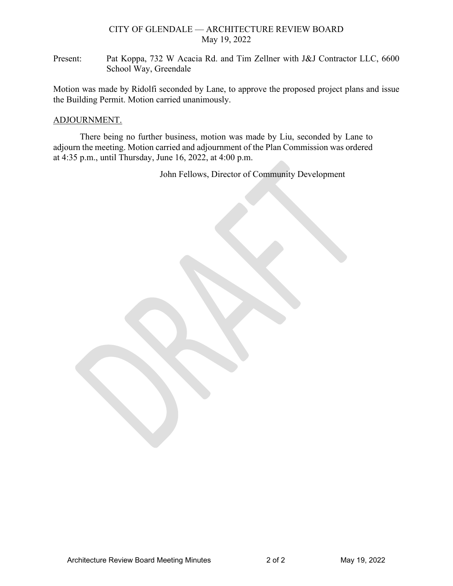#### CITY OF GLENDALE — ARCHITECTURE REVIEW BOARD May 19, 2022

Present: Pat Koppa, 732 W Acacia Rd. and Tim Zellner with J&J Contractor LLC, 6600 School Way, Greendale

Motion was made by Ridolfi seconded by Lane, to approve the proposed project plans and issue the Building Permit. Motion carried unanimously.

#### ADJOURNMENT.

There being no further business, motion was made by Liu, seconded by Lane to adjourn the meeting. Motion carried and adjournment of the Plan Commission was ordered at 4:35 p.m., until Thursday, June 16, 2022, at 4:00 p.m.

John Fellows, Director of Community Development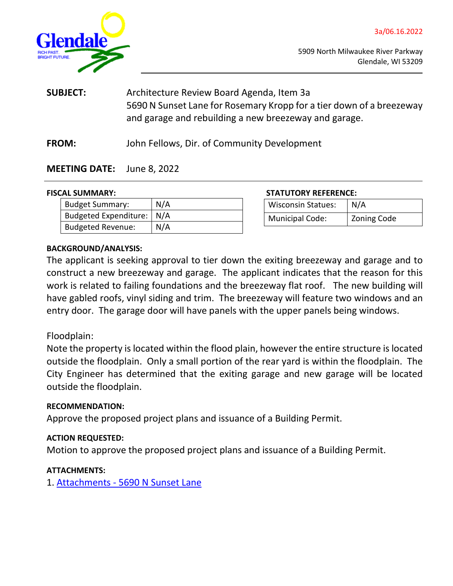

<span id="page-3-0"></span>

**SUBJECT:** Architecture Review Board Agenda, Item 3a 5690 N Sunset Lane for Rosemary Kropp for a tier down of a breezeway and garage and rebuilding a new breezeway and garage.

**FROM:** John Fellows, Dir. of Community Development

### **MEETING DATE:** June 8, 2022

| <b>Budget Summary:</b>      | N/A |
|-----------------------------|-----|
| Budgeted Expenditure:   N/A |     |
| <b>Budgeted Revenue:</b>    | N/A |

**FISCAL SUMMARY: STATUTORY REFERENCE:**

| <b>Wisconsin Statues:</b> | N/A         |
|---------------------------|-------------|
| <b>Municipal Code:</b>    | Zoning Code |

#### **BACKGROUND/ANALYSIS:**

The applicant is seeking approval to tier down the exiting breezeway and garage and to construct a new breezeway and garage. The applicant indicates that the reason for this work is related to failing foundations and the breezeway flat roof. The new building will have gabled roofs, vinyl siding and trim. The breezeway will feature two windows and an entry door. The garage door will have panels with the upper panels being windows.

### Floodplain:

Note the property is located within the flood plain, however the entire structure is located outside the floodplain. Only a small portion of the rear yard is within the floodplain. The City Engineer has determined that the exiting garage and new garage will be located outside the floodplain.

### **RECOMMENDATION:**

Approve the proposed project plans and issuance of a Building Permit.

### **ACTION REQUESTED:**

Motion to approve the proposed project plans and issuance of a Building Permit.

### **ATTACHMENTS:**

1. [Attachments - 5690 N Sunset Lane](https://www.glendale-wi.org/DocumentCenter/View/2723/3a-Attachment---5698---Kropp)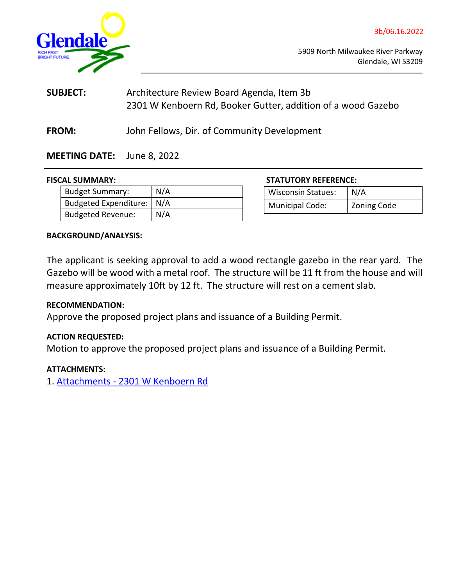<span id="page-4-0"></span>

| <b>SUBJECT:</b> | Architecture Review Board Agenda, Item 3b                    |
|-----------------|--------------------------------------------------------------|
|                 | 2301 W Kenboern Rd, Booker Gutter, addition of a wood Gazebo |

**FROM:** John Fellows, Dir. of Community Development

# **MEETING DATE:** June 8, 2022

#### **FISCAL SUMMARY:**

| <b>Budget Summary:</b>      | N/A |
|-----------------------------|-----|
| Budgeted Expenditure:   N/A |     |
| <b>Budgeted Revenue:</b>    | N/A |

|  | <b>STATUTORY REFERENCE:</b> |
|--|-----------------------------|
|  |                             |

| <b>Wisconsin Statues:</b> | N/A         |
|---------------------------|-------------|
| Municipal Code:           | Zoning Code |

### **BACKGROUND/ANALYSIS:**

The applicant is seeking approval to add a wood rectangle gazebo in the rear yard. The Gazebo will be wood with a metal roof. The structure will be 11 ft from the house and will measure approximately 10ft by 12 ft. The structure will rest on a cement slab.

### **RECOMMENDATION:**

Approve the proposed project plans and issuance of a Building Permit.

#### **ACTION REQUESTED:**

Motion to approve the proposed project plans and issuance of a Building Permit.

### **ATTACHMENTS:**

1. [Attachments - 2301 W Kenboern Rd](https://www.glendale-wi.org/DocumentCenter/View/2722/3b-Attachments---2301-W-Kenboern)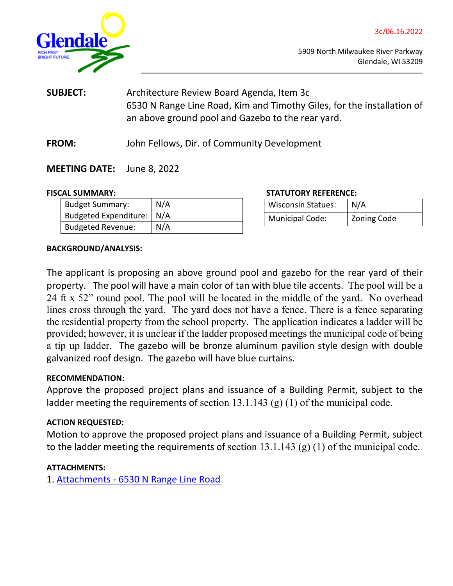<span id="page-5-0"></span>

3c/06.16.2022

| <b>SUBJECT:</b> | Architecture Review Board Agenda, Item 3c                              |
|-----------------|------------------------------------------------------------------------|
|                 | 6530 N Range Line Road, Kim and Timothy Giles, for the installation of |
|                 | an above ground pool and Gazebo to the rear yard.                      |
|                 |                                                                        |

**FROM:** John Fellows, Dir. of Community Development

# **MEETING DATE:** June 8, 2022

| <b>Budget Summary:</b>      | N/A |
|-----------------------------|-----|
| Budgeted Expenditure:   N/A |     |
| <b>Budgeted Revenue:</b>    | N/A |

**FISCAL SUMMARY: STATUTORY REFERENCE:**

| <b>Wisconsin Statues:</b> | N/A                |
|---------------------------|--------------------|
| <b>Municipal Code:</b>    | <b>Zoning Code</b> |

#### **BACKGROUND/ANALYSIS:**

The applicant is proposing an above ground pool and gazebo for the rear yard of their property. The pool will have a main color of tan with blue tile accents. The pool will be a 24 ft x 52" round pool. The pool will be located in the middle of the yard. No overhead lines cross through the yard. The yard does not have a fence. There is a fence separating the residential property from the school property. The application indicates a ladder will be provided; however, it is unclear if the ladder proposed meetings the municipal code of being a tip up ladder. The gazebo will be bronze aluminum pavilion style design with double galvanized roof design. The gazebo will have blue curtains.

### **RECOMMENDATION:**

Approve the proposed project plans and issuance of a Building Permit, subject to the ladder meeting the requirements of section 13.1.143 (g) (1) of the municipal code.

### **ACTION REQUESTED:**

Motion to approve the proposed project plans and issuance of a Building Permit, subject to the ladder meeting the requirements of section  $13.1.143$  (g) (1) of the municipal code.

### **ATTACHMENTS:**

1. [Attachments -](https://www.glendale-wi.org/DocumentCenter/View/2724/3c-Attachment-6530-N-Range-Line-Rd---Pool-and-Gazebo-Application) [6530 N Range Line Road](https://www.glendale-wi.org/DocumentCenter/View/2724/3c-Attachment-6530-N-Range-Line-Rd---Pool-and-Gazebo-Application)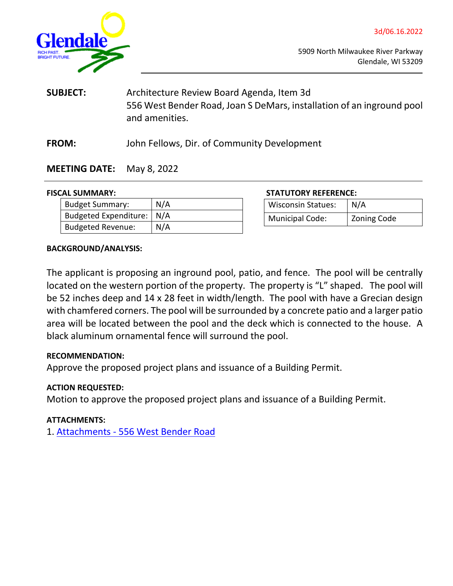

<span id="page-6-0"></span>

- **SUBJECT:** Architecture Review Board Agenda, Item 3d 556 West Bender Road, Joan S DeMars, installation of an inground pool and amenities.
- **FROM:** John Fellows, Dir. of Community Development

# **MEETING DATE:** May 8, 2022

| <b>Budget Summary:</b>      | N/A |
|-----------------------------|-----|
| Budgeted Expenditure:   N/A |     |
| <b>Budgeted Revenue:</b>    | N/A |

**FISCAL SUMMARY: STATUTORY REFERENCE:**

| <b>Wisconsin Statues:</b> | N/A         |
|---------------------------|-------------|
| <b>Municipal Code:</b>    | Zoning Code |

### **BACKGROUND/ANALYSIS:**

The applicant is proposing an inground pool, patio, and fence. The pool will be centrally located on the western portion of the property. The property is "L" shaped. The pool will be 52 inches deep and 14 x 28 feet in width/length. The pool with have a Grecian design with chamfered corners. The pool will be surrounded by a concrete patio and a larger patio area will be located between the pool and the deck which is connected to the house. A black aluminum ornamental fence will surround the pool.

### **RECOMMENDATION:**

Approve the proposed project plans and issuance of a Building Permit.

### **ACTION REQUESTED:**

Motion to approve the proposed project plans and issuance of a Building Permit.

### **ATTACHMENTS:**

1. [Attachments -](https://www.glendale-wi.org/DocumentCenter/View/2725/3d-Attachments---556-W-Bender) [556 West Bender Road](https://www.glendale-wi.org/DocumentCenter/View/2725/3d-Attachments---556-W-Bender)